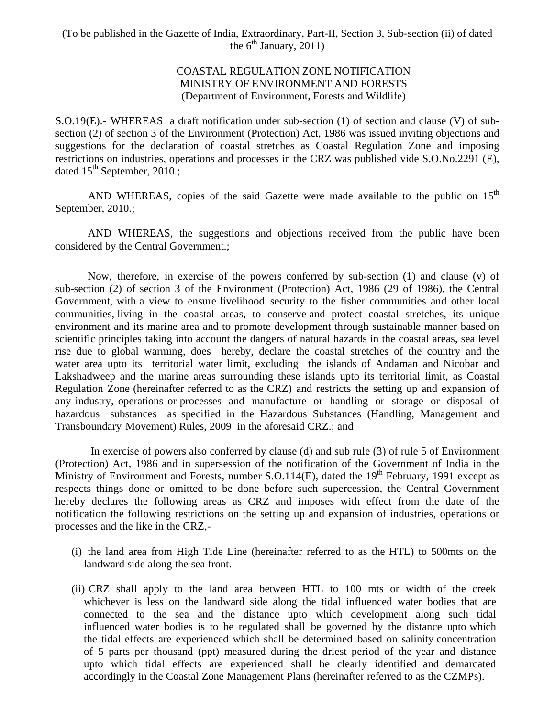# COASTAL REGULATION ZONE NOTIFICATION MINISTRY OF ENVIRONMENT AND FORESTS (Department of Environment, Forests and Wildlife)

S.O.19(E).- WHEREAS a draft notification under sub-section (1) of section and clause (V) of subsection (2) of section 3 of the Environment (Protection) Act, 1986 was issued inviting objections and suggestions for the declaration of coastal stretches as Coastal Regulation Zone and imposing restrictions on industries, operations and processes in the CRZ was published vide S.O.No.2291 (E), dated  $15<sup>th</sup>$  September, 2010.;

AND WHEREAS, copies of the said Gazette were made available to the public on  $15<sup>th</sup>$ September, 2010.;

AND WHEREAS, the suggestions and objections received from the public have been considered by the Central Government.;

Now, therefore, in exercise of the powers conferred by sub-section (1) and clause (v) of sub-section (2) of section 3 of the Environment (Protection) Act, 1986 (29 of 1986), the Central Government, with a view to ensure livelihood security to the fisher communities and other local communities, living in the coastal areas, to conserve and protect coastal stretches, its unique environment and its marine area and to promote development through sustainable manner based on scientific principles taking into account the dangers of natural hazards in the coastal areas, sea level rise due to global warming, does hereby, declare the coastal stretches of the country and the water area upto its territorial water limit, excluding the islands of Andaman and Nicobar and Lakshadweep and the marine areas surrounding these islands upto its territorial limit, as Coastal Regulation Zone (hereinafter referred to as the CRZ) and restricts the setting up and expansion of any industry, operations or processes and manufacture or handling or storage or disposal of hazardous substances as specified in the Hazardous Substances (Handling, Management and Transboundary Movement) Rules, 2009 in the aforesaid CRZ.; and

 In exercise of powers also conferred by clause (d) and sub rule (3) of rule 5 of Environment (Protection) Act, 1986 and in supersession of the notification of the Government of India in the Ministry of Environment and Forests, number S.O.114(E), dated the  $19<sup>th</sup>$  February, 1991 except as respects things done or omitted to be done before such supercession, the Central Government hereby declares the following areas as CRZ and imposes with effect from the date of the notification the following restrictions on the setting up and expansion of industries, operations or processes and the like in the CRZ,-

- (i) the land area from High Tide Line (hereinafter referred to as the HTL) to 500mts on the landward side along the sea front.
- (ii) CRZ shall apply to the land area between HTL to 100 mts or width of the creek whichever is less on the landward side along the tidal influenced water bodies that are connected to the sea and the distance upto which development along such tidal influenced water bodies is to be regulated shall be governed by the distance upto which the tidal effects are experienced which shall be determined based on salinity concentration of 5 parts per thousand (ppt) measured during the driest period of the year and distance upto which tidal effects are experienced shall be clearly identified and demarcated accordingly in the Coastal Zone Management Plans (hereinafter referred to as the CZMPs).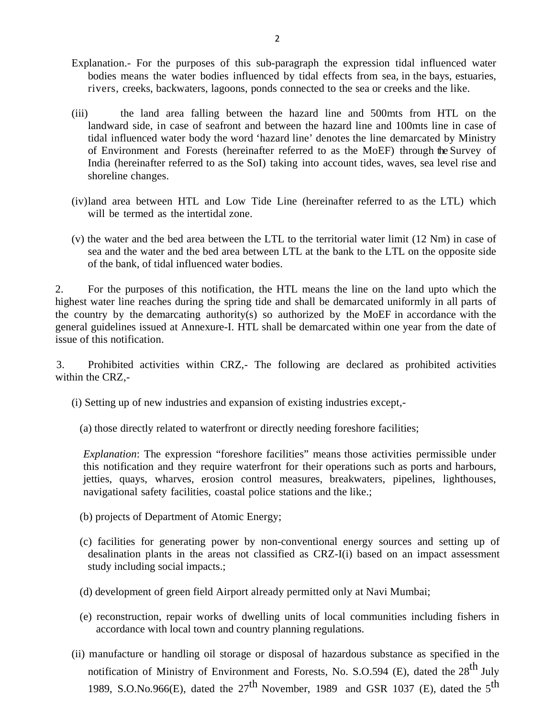- Explanation.- For the purposes of this sub-paragraph the expression tidal influenced water bodies means the water bodies influenced by tidal effects from sea, in the bays, estuaries, rivers, creeks, backwaters, lagoons, ponds connected to the sea or creeks and the like.
- (iii) the land area falling between the hazard line and 500mts from HTL on the landward side, in case of seafront and between the hazard line and 100mts line in case of tidal influenced water body the word 'hazard line' denotes the line demarcated by Ministry of Environment and Forests (hereinafter referred to as the MoEF) through the Survey of India (hereinafter referred to as the SoI) taking into account tides, waves, sea level rise and shoreline changes.
- (iv) land area between HTL and Low Tide Line (hereinafter referred to as the LTL) which will be termed as the intertidal zone.
- (v) the water and the bed area between the LTL to the territorial water limit (12 Nm) in case of sea and the water and the bed area between LTL at the bank to the LTL on the opposite side of the bank, of tidal influenced water bodies.

2. For the purposes of this notification, the HTL means the line on the land upto which the highest water line reaches during the spring tide and shall be demarcated uniformly in all parts of the country by the demarcating authority(s) so authorized by the MoEF in accordance with the general guidelines issued at Annexure-I. HTL shall be demarcated within one year from the date of issue of this notification.

3. Prohibited activities within CRZ,- The following are declared as prohibited activities within the CRZ,-

- (i) Setting up of new industries and expansion of existing industries except,-
	- (a) those directly related to waterfront or directly needing foreshore facilities;

*Explanation*: The expression "foreshore facilities" means those activities permissible under this notification and they require waterfront for their operations such as ports and harbours, jetties, quays, wharves, erosion control measures, breakwaters, pipelines, lighthouses, navigational safety facilities, coastal police stations and the like.;

- (b) projects of Department of Atomic Energy;
- (c) facilities for generating power by non-conventional energy sources and setting up of desalination plants in the areas not classified as CRZ-I(i) based on an impact assessment study including social impacts.;
- (d) development of green field Airport already permitted only at Navi Mumbai;
- (e) reconstruction, repair works of dwelling units of local communities including fishers in accordance with local town and country planning regulations.
- (ii) manufacture or handling oil storage or disposal of hazardous substance as specified in the notification of Ministry of Environment and Forests, No. S.O.594 (E), dated the 28<sup>th</sup> July 1989, S.O.No.966(E), dated the  $27<sup>th</sup>$  November, 1989 and GSR 1037 (E), dated the  $5<sup>th</sup>$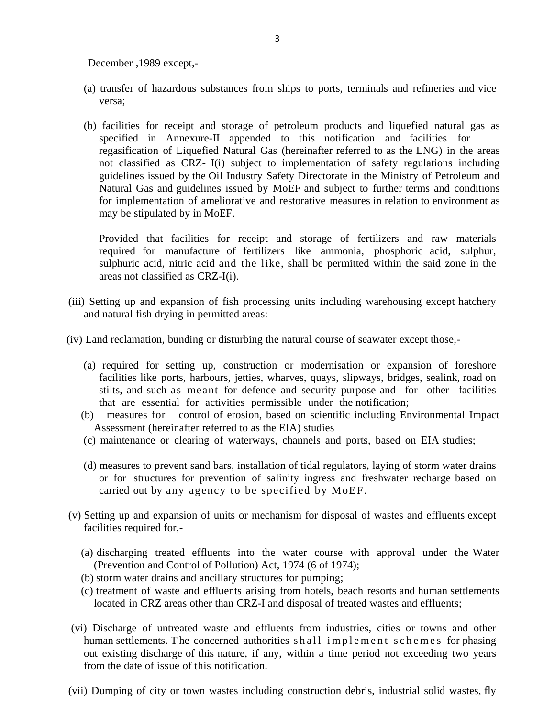December ,1989 except,-

- (a) transfer of hazardous substances from ships to ports, terminals and refineries and vice versa;
- (b) facilities for receipt and storage of petroleum products and liquefied natural gas as specified in Annexure-II appended to this notification and facilities for regasification of Liquefied Natural Gas (hereinafter referred to as the LNG) in the areas not classified as CRZ- I(i) subject to implementation of safety regulations including guidelines issued by the Oil Industry Safety Directorate in the Ministry of Petroleum and Natural Gas and guidelines issued by MoEF and subject to further terms and conditions for implementation of ameliorative and restorative measures in relation to environment as may be stipulated by in MoEF.

Provided that facilities for receipt and storage of fertilizers and raw materials required for manufacture of fertilizers like ammonia, phosphoric acid, sulphur, sulphuric acid, nitric acid and the like, shall be permitted within the said zone in the areas not classified as CRZ-I(i).

- (iii) Setting up and expansion of fish processing units including warehousing except hatchery and natural fish drying in permitted areas:
- (iv) Land reclamation, bunding or disturbing the natural course of seawater except those,-
	- (a) required for setting up, construction or modernisation or expansion of foreshore facilities like ports, harbours, jetties, wharves, quays, slipways, bridges, sealink, road on stilts, and such as meant for defence and security purpose and for other facilities that are essential for activities permissible under the notification;
	- (b) measures for control of erosion, based on scientific including Environmental Impact Assessment (hereinafter referred to as the EIA) studies
	- (c) maintenance or clearing of waterways, channels and ports, based on EIA studies;
	- (d) measures to prevent sand bars, installation of tidal regulators, laying of storm water drains or for structures for prevention of salinity ingress and freshwater recharge based on carried out by any agency to be specified by MoEF.
- (v) Setting up and expansion of units or mechanism for disposal of wastes and effluents except facilities required for,-
	- (a) discharging treated effluents into the water course with approval under the Water (Prevention and Control of Pollution) Act, 1974 (6 of 1974);
	- (b) storm water drains and ancillary structures for pumping;
	- (c) treatment of waste and effluents arising from hotels, beach resorts and human settlements located in CRZ areas other than CRZ-I and disposal of treated wastes and effluents;
- (vi) Discharge of untreated waste and effluents from industries, cities or towns and other human settlements. The concerned authorities shall implement schemes for phasing out existing discharge of this nature, if any, within a time period not exceeding two years from the date of issue of this notification.
- (vii) Dumping of city or town wastes including construction debris, industrial solid wastes, fly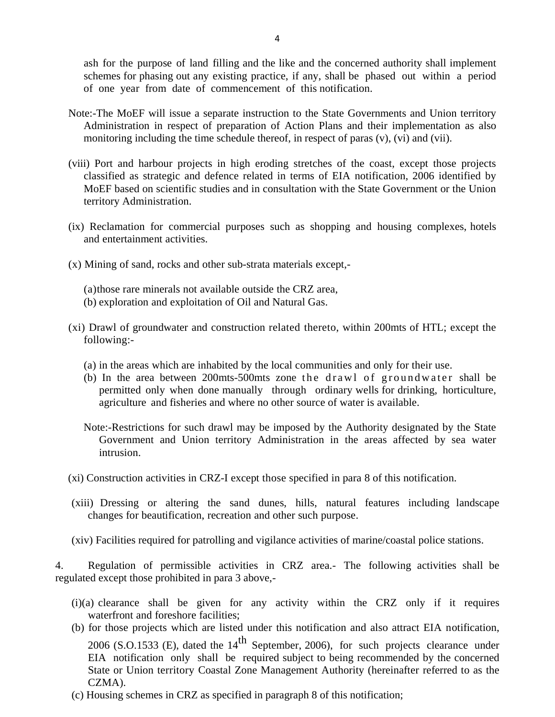ash for the purpose of land filling and the like and the concerned authority shall implement schemes for phasing out any existing practice, if any, shall be phased out within a period of one year from date of commencement of this notification.

- Note:-The MoEF will issue a separate instruction to the State Governments and Union territory Administration in respect of preparation of Action Plans and their implementation as also monitoring including the time schedule thereof, in respect of paras (v), (vi) and (vii).
- (viii) Port and harbour projects in high eroding stretches of the coast, except those projects classified as strategic and defence related in terms of EIA notification, 2006 identified by MoEF based on scientific studies and in consultation with the State Government or the Union territory Administration.
- (ix) Reclamation for commercial purposes such as shopping and housing complexes, hotels and entertainment activities.
- (x) Mining of sand, rocks and other sub-strata materials except,-
	- (a)those rare minerals not available outside the CRZ area,
	- (b) exploration and exploitation of Oil and Natural Gas.
- (xi) Drawl of groundwater and construction related thereto, within 200mts of HTL; except the following:-
	- (a) in the areas which are inhabited by the local communities and only for their use.
	- (b) In the area between  $200$ mts-500mts zone the drawl of groundwater shall be permitted only when done manually through ordinary wells for drinking, horticulture, agriculture and fisheries and where no other source of water is available.
	- Note:-Restrictions for such drawl may be imposed by the Authority designated by the State Government and Union territory Administration in the areas affected by sea water intrusion.
- (xi) Construction activities in CRZ-I except those specified in para 8 of this notification.
- (xiii) Dressing or altering the sand dunes, hills, natural features including landscape changes for beautification, recreation and other such purpose.
- (xiv) Facilities required for patrolling and vigilance activities of marine/coastal police stations.

4. Regulation of permissible activities in CRZ area.- The following activities shall be regulated except those prohibited in para 3 above,-

- (i)(a) clearance shall be given for any activity within the CRZ only if it requires waterfront and foreshore facilities;
- (b) for those projects which are listed under this notification and also attract EIA notification, 2006 (S.O.1533 (E), dated the  $14<sup>th</sup>$  September, 2006), for such projects clearance under EIA notification only shall be required subject to being recommended by the concerned State or Union territory Coastal Zone Management Authority (hereinafter referred to as the CZMA).
- (c) Housing schemes in CRZ as specified in paragraph 8 of this notification;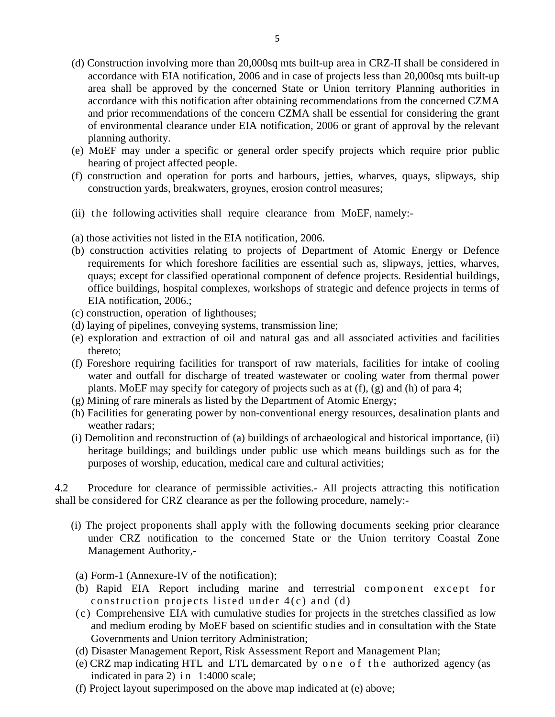- (d) Construction involving more than 20,000sq mts built-up area in CRZ-II shall be considered in accordance with EIA notification, 2006 and in case of projects less than 20,000sq mts built-up area shall be approved by the concerned State or Union territory Planning authorities in accordance with this notification after obtaining recommendations from the concerned CZMA and prior recommendations of the concern CZMA shall be essential for considering the grant of environmental clearance under EIA notification, 2006 or grant of approval by the relevant planning authority.
- (e) MoEF may under a specific or general order specify projects which require prior public hearing of project affected people.
- (f) construction and operation for ports and harbours, jetties, wharves, quays, slipways, ship construction yards, breakwaters, groynes, erosion control measures;
- (ii) the following activities shall require clearance from MoEF, namely:-
- (a) those activities not listed in the EIA notification, 2006.
- (b) construction activities relating to projects of Department of Atomic Energy or Defence requirements for which foreshore facilities are essential such as, slipways, jetties, wharves, quays; except for classified operational component of defence projects. Residential buildings, office buildings, hospital complexes, workshops of strategic and defence projects in terms of EIA notification, 2006.;
- (c) construction, operation of lighthouses;
- (d) laying of pipelines, conveying systems, transmission line;
- (e) exploration and extraction of oil and natural gas and all associated activities and facilities thereto;
- (f) Foreshore requiring facilities for transport of raw materials, facilities for intake of cooling water and outfall for discharge of treated wastewater or cooling water from thermal power plants. MoEF may specify for category of projects such as at (f), (g) and (h) of para 4;
- (g) Mining of rare minerals as listed by the Department of Atomic Energy;
- (h) Facilities for generating power by non-conventional energy resources, desalination plants and weather radars;
- (i) Demolition and reconstruction of (a) buildings of archaeological and historical importance, (ii) heritage buildings; and buildings under public use which means buildings such as for the purposes of worship, education, medical care and cultural activities;

4.2 Procedure for clearance of permissible activities.- All projects attracting this notification shall be considered for CRZ clearance as per the following procedure, namely:-

- (i) The project proponents shall apply with the following documents seeking prior clearance under CRZ notification to the concerned State or the Union territory Coastal Zone Management Authority,-
- (a) Form-1 (Annexure-IV of the notification);
- (b) Rapid EIA Report including marine and terrestrial component except for construction projects listed under 4(c) and (d)
- (c) Comprehensive EIA with cumulative studies for projects in the stretches classified as low and medium eroding by MoEF based on scientific studies and in consultation with the State Governments and Union territory Administration;
- (d) Disaster Management Report, Risk Assessment Report and Management Plan;
- (e) CRZ map indicating HTL and LTL demarcated by o n e o f t h e authorized agency (as indicated in para 2) in 1:4000 scale;
- (f) Project layout superimposed on the above map indicated at (e) above;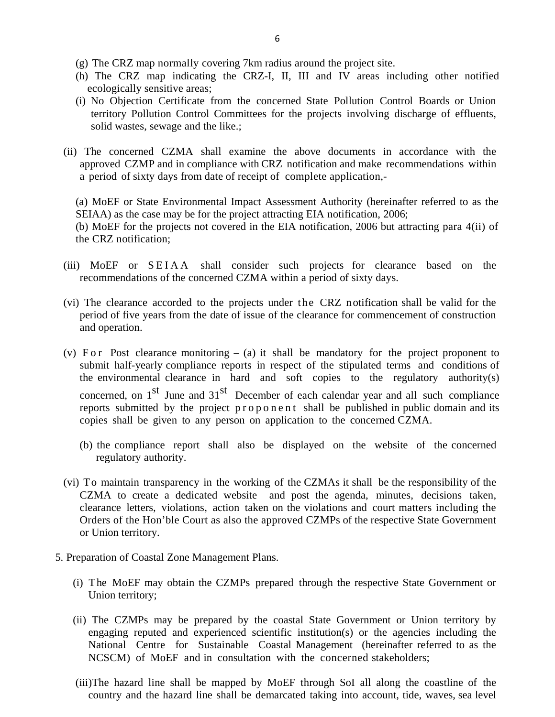- (g) The CRZ map normally covering 7km radius around the project site.
- (h) The CRZ map indicating the CRZ-I, II, III and IV areas including other notified ecologically sensitive areas;
- (i) No Objection Certificate from the concerned State Pollution Control Boards or Union territory Pollution Control Committees for the projects involving discharge of effluents, solid wastes, sewage and the like.;
- (ii) The concerned CZMA shall examine the above documents in accordance with the approved CZMP and in compliance with CRZ notification and make recommendations within a period of sixty days from date of receipt of complete application,-

(a) MoEF or State Environmental Impact Assessment Authority (hereinafter referred to as the SEIAA) as the case may be for the project attracting EIA notification, 2006; (b) MoEF for the projects not covered in the EIA notification, 2006 but attracting para 4(ii) of the CRZ notification;

- (iii) MoEF or SEIAA shall consider such projects for clearance based on the recommendations of the concerned CZMA within a period of sixty days.
- (vi) The clearance accorded to the projects under the CRZ notification shall be valid for the period of five years from the date of issue of the clearance for commencement of construction and operation.
- (v) F or Post clearance monitoring  $-$  (a) it shall be mandatory for the project proponent to submit half-yearly compliance reports in respect of the stipulated terms and conditions of the environmental clearance in hard and soft copies to the regulatory authority(s) concerned, on  $1<sup>st</sup>$  June and  $31<sup>st</sup>$  December of each calendar year and all such compliance reports submitted by the project proponent shall be published in public domain and its copies shall be given to any person on application to the concerned CZMA.
	- (b) the compliance report shall also be displayed on the website of the concerned regulatory authority.
- (vi) To maintain transparency in the working of the CZMAs it shall be the responsibility of the CZMA to create a dedicated website and post the agenda, minutes, decisions taken, clearance letters, violations, action taken on the violations and court matters including the Orders of the Hon'ble Court as also the approved CZMPs of the respective State Government or Union territory.
- 5. Preparation of Coastal Zone Management Plans.
	- (i) The MoEF may obtain the CZMPs prepared through the respective State Government or Union territory;
	- (ii) The CZMPs may be prepared by the coastal State Government or Union territory by engaging reputed and experienced scientific institution(s) or the agencies including the National Centre for Sustainable Coastal Management (hereinafter referred to as the NCSCM) of MoEF and in consultation with the concerned stakeholders;
	- (iii)The hazard line shall be mapped by MoEF through SoI all along the coastline of the country and the hazard line shall be demarcated taking into account, tide, waves, sea level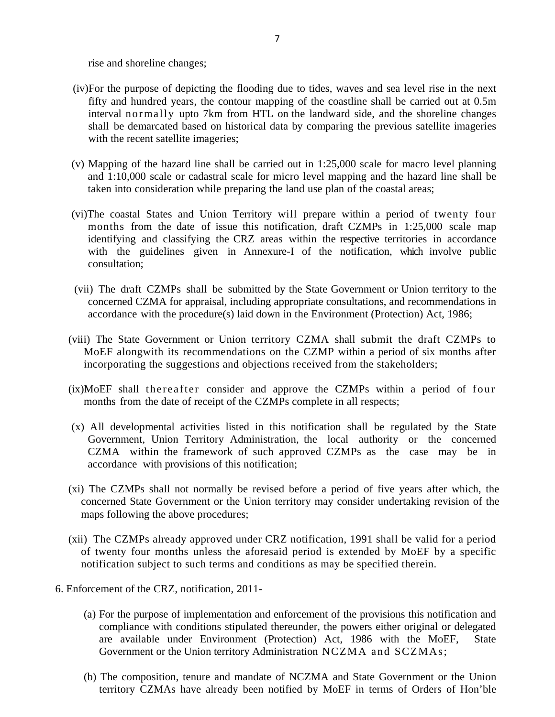rise and shoreline changes;

- (iv)For the purpose of depicting the flooding due to tides, waves and sea level rise in the next fifty and hundred years, the contour mapping of the coastline shall be carried out at 0.5m interval normally upto 7km from HTL on the landward side, and the shoreline changes shall be demarcated based on historical data by comparing the previous satellite imageries with the recent satellite imageries;
- (v) Mapping of the hazard line shall be carried out in 1:25,000 scale for macro level planning and 1:10,000 scale or cadastral scale for micro level mapping and the hazard line shall be taken into consideration while preparing the land use plan of the coastal areas;
- (vi)The coastal States and Union Territory will prepare within a period of twenty four months from the date of issue this notification, draft CZMPs in 1:25,000 scale map identifying and classifying the CRZ areas within the respective territories in accordance with the guidelines given in Annexure-I of the notification, which involve public consultation;
- (vii) The draft CZMPs shall be submitted by the State Government or Union territory to the concerned CZMA for appraisal, including appropriate consultations, and recommendations in accordance with the procedure(s) laid down in the Environment (Protection) Act, 1986;
- (viii) The State Government or Union territory CZMA shall submit the draft CZMPs to MoEF alongwith its recommendations on the CZMP within a period of six months after incorporating the suggestions and objections received from the stakeholders;
- $(ix) \text{MoEF}$  shall thereafter consider and approve the CZMPs within a period of four months from the date of receipt of the CZMPs complete in all respects;
- (x) All developmental activities listed in this notification shall be regulated by the State Government, Union Territory Administration, the local authority or the concerned CZMA within the framework of such approved CZMPs as the case may be in accordance with provisions of this notification;
- (xi) The CZMPs shall not normally be revised before a period of five years after which, the concerned State Government or the Union territory may consider undertaking revision of the maps following the above procedures;
- (xii) The CZMPs already approved under CRZ notification, 1991 shall be valid for a period of twenty four months unless the aforesaid period is extended by MoEF by a specific notification subject to such terms and conditions as may be specified therein.
- 6. Enforcement of the CRZ, notification, 2011-
	- (a) For the purpose of implementation and enforcement of the provisions this notification and compliance with conditions stipulated thereunder, the powers either original or delegated are available under Environment (Protection) Act, 1986 with the MoEF, State Government or the Union territory Administration NCZMA and SCZMAs;
	- (b) The composition, tenure and mandate of NCZMA and State Government or the Union territory CZMAs have already been notified by MoEF in terms of Orders of Hon'ble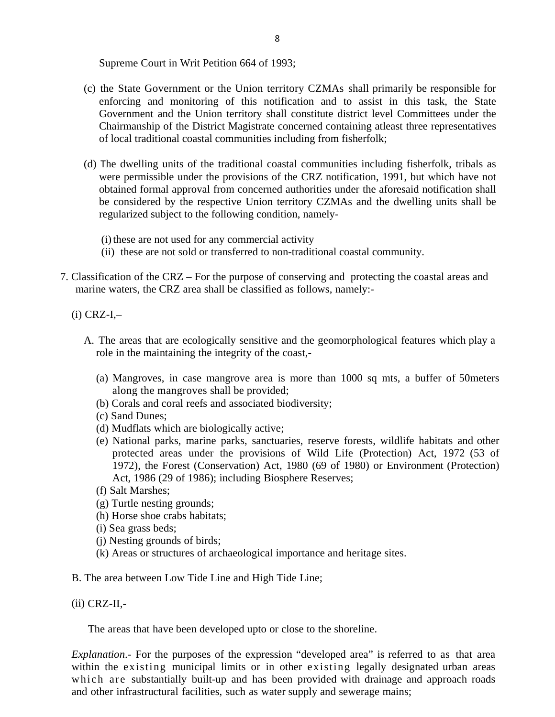Supreme Court in Writ Petition 664 of 1993;

- (c) the State Government or the Union territory CZMAs shall primarily be responsible for enforcing and monitoring of this notification and to assist in this task, the State Government and the Union territory shall constitute district level Committees under the Chairmanship of the District Magistrate concerned containing atleast three representatives of local traditional coastal communities including from fisherfolk;
- (d) The dwelling units of the traditional coastal communities including fisherfolk, tribals as were permissible under the provisions of the CRZ notification, 1991, but which have not obtained formal approval from concerned authorities under the aforesaid notification shall be considered by the respective Union territory CZMAs and the dwelling units shall be regularized subject to the following condition, namely-
	- (i) these are not used for any commercial activity
	- (ii) these are not sold or transferred to non-traditional coastal community.
- 7. Classification of the CRZ For the purpose of conserving and protecting the coastal areas and marine waters, the CRZ area shall be classified as follows, namely:-

 $(i)$  CRZ-I,-

- A. The areas that are ecologically sensitive and the geomorphological features which play a role in the maintaining the integrity of the coast,-
	- (a) Mangroves, in case mangrove area is more than 1000 sq mts, a buffer of 50meters along the mangroves shall be provided;
	- (b) Corals and coral reefs and associated biodiversity;
	- (c) Sand Dunes;
	- (d) Mudflats which are biologically active;
	- (e) National parks, marine parks, sanctuaries, reserve forests, wildlife habitats and other protected areas under the provisions of Wild Life (Protection) Act, 1972 (53 of 1972), the Forest (Conservation) Act, 1980 (69 of 1980) or Environment (Protection) Act, 1986 (29 of 1986); including Biosphere Reserves;
	- (f) Salt Marshes;
	- (g) Turtle nesting grounds;
	- (h) Horse shoe crabs habitats;
	- (i) Sea grass beds;
	- (j) Nesting grounds of birds;
	- (k) Areas or structures of archaeological importance and heritage sites.
- B. The area between Low Tide Line and High Tide Line;
- (ii) CRZ-II,-

The areas that have been developed upto or close to the shoreline.

*Explanation*.- For the purposes of the expression "developed area" is referred to as that area within the existing municipal limits or in other existing legally designated urban areas which are substantially built-up and has been provided with drainage and approach roads and other infrastructural facilities, such as water supply and sewerage mains;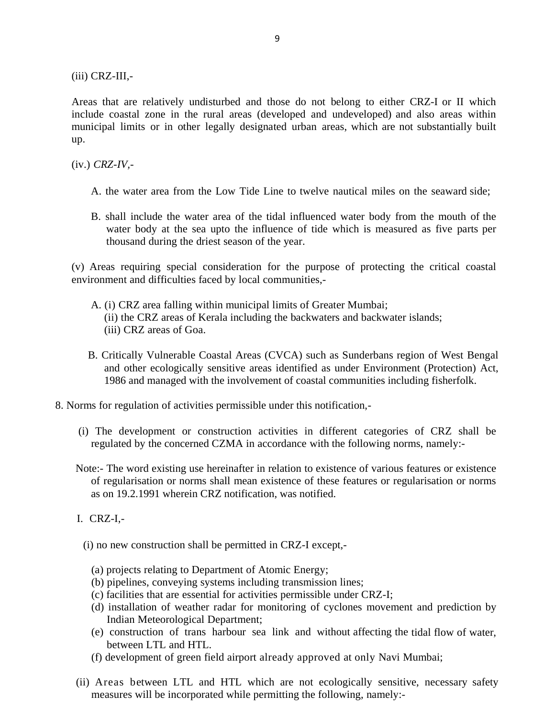(iii) CRZ-III,-

Areas that are relatively undisturbed and those do not belong to either CRZ-I or II which include coastal zone in the rural areas (developed and undeveloped) and also areas within municipal limits or in other legally designated urban areas, which are not substantially built up.

(iv.) *CRZ-IV,-*

- A. the water area from the Low Tide Line to twelve nautical miles on the seaward side;
- B. shall include the water area of the tidal influenced water body from the mouth of the water body at the sea upto the influence of tide which is measured as five parts per thousand during the driest season of the year.

(v) Areas requiring special consideration for the purpose of protecting the critical coastal environment and difficulties faced by local communities,-

- A. (i) CRZ area falling within municipal limits of Greater Mumbai; (ii) the CRZ areas of Kerala including the backwaters and backwater islands; (iii) CRZ areas of Goa.
- B. Critically Vulnerable Coastal Areas (CVCA) such as Sunderbans region of West Bengal and other ecologically sensitive areas identified as under Environment (Protection) Act, 1986 and managed with the involvement of coastal communities including fisherfolk.
- 8. Norms for regulation of activities permissible under this notification,-
	- (i) The development or construction activities in different categories of CRZ shall be regulated by the concerned CZMA in accordance with the following norms, namely:-
	- Note:- The word existing use hereinafter in relation to existence of various features or existence of regularisation or norms shall mean existence of these features or regularisation or norms as on 19.2.1991 wherein CRZ notification, was notified.
	- I. CRZ-I,-
		- (i) no new construction shall be permitted in CRZ-I except,-
			- (a) projects relating to Department of Atomic Energy;
			- (b) pipelines, conveying systems including transmission lines;
			- (c) facilities that are essential for activities permissible under CRZ-I;
			- (d) installation of weather radar for monitoring of cyclones movement and prediction by Indian Meteorological Department;
			- (e) construction of trans harbour sea link and without affecting the tidal flow of water, between LTL and HTL.
			- (f) development of green field airport already approved at only Navi Mumbai;
	- (ii) Areas between LTL and HTL which are not ecologically sensitive, necessary safety measures will be incorporated while permitting the following, namely:-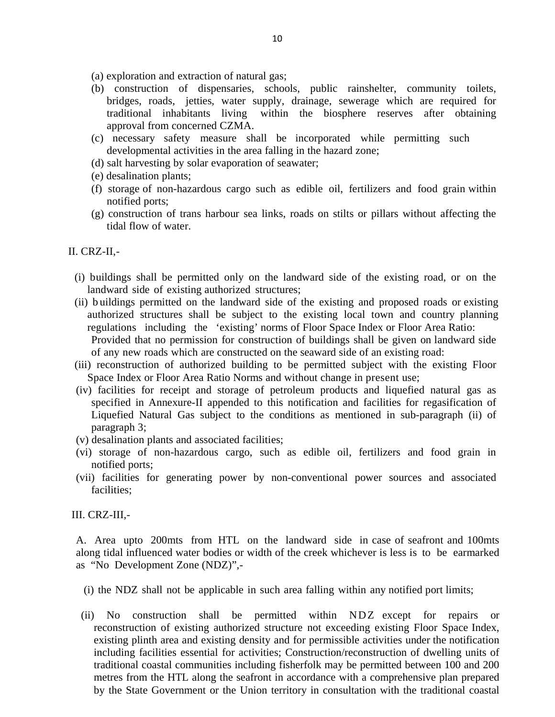(a) exploration and extraction of natural gas;

- (b) construction of dispensaries, schools, public rainshelter, community toilets, bridges, roads, jetties, water supply, drainage, sewerage which are required for traditional inhabitants living within the biosphere reserves after obtaining approval from concerned CZMA.
- (c) necessary safety measure shall be incorporated while permitting such developmental activities in the area falling in the hazard zone;
- (d) salt harvesting by solar evaporation of seawater;
- (e) desalination plants;
- (f) storage of non-hazardous cargo such as edible oil, fertilizers and food grain within notified ports;
- (g) construction of trans harbour sea links, roads on stilts or pillars without affecting the tidal flow of water.

### II. CRZ-II,-

- (i) buildings shall be permitted only on the landward side of the existing road, or on the landward side of existing authorized structures;
- (ii) b uildings permitted on the landward side of the existing and proposed roads or existing authorized structures shall be subject to the existing local town and country planning regulations including the 'existing' norms of Floor Space Index or Floor Area Ratio: Provided that no permission for construction of buildings shall be given on landward side of any new roads which are constructed on the seaward side of an existing road:
- (iii) reconstruction of authorized building to be permitted subject with the existing Floor Space Index or Floor Area Ratio Norms and without change in present use;
- (iv) facilities for receipt and storage of petroleum products and liquefied natural gas as specified in Annexure-II appended to this notification and facilities for regasification of Liquefied Natural Gas subject to the conditions as mentioned in sub-paragraph (ii) of paragraph 3;
- (v) desalination plants and associated facilities;
- (vi) storage of non-hazardous cargo, such as edible oil, fertilizers and food grain in notified ports;
- (vii) facilities for generating power by non-conventional power sources and associated facilities;

#### III. CRZ-III,-

A. Area upto 200mts from HTL on the landward side in case of seafront and 100mts along tidal influenced water bodies or width of the creek whichever is less is to be earmarked as "No Development Zone (NDZ)",-

- (i) the NDZ shall not be applicable in such area falling within any notified port limits;
- (ii) No construction shall be permitted within NDZ except for repairs or reconstruction of existing authorized structure not exceeding existing Floor Space Index, existing plinth area and existing density and for permissible activities under the notification including facilities essential for activities; Construction/reconstruction of dwelling units of traditional coastal communities including fisherfolk may be permitted between 100 and 200 metres from the HTL along the seafront in accordance with a comprehensive plan prepared by the State Government or the Union territory in consultation with the traditional coastal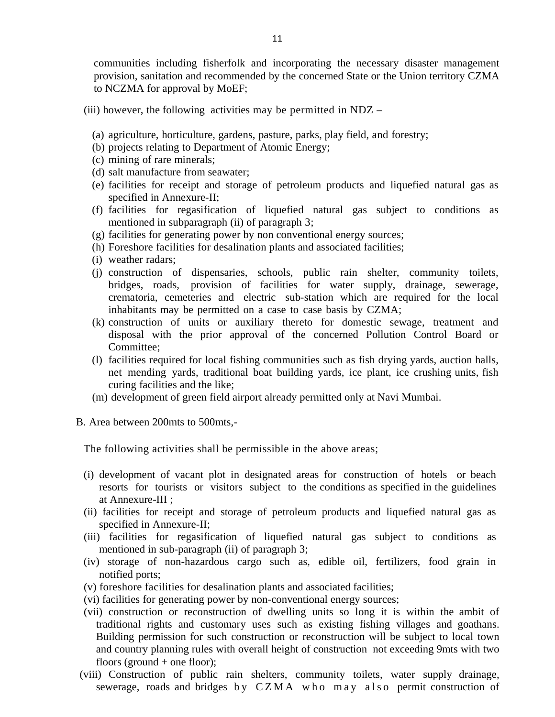communities including fisherfolk and incorporating the necessary disaster management provision, sanitation and recommended by the concerned State or the Union territory CZMA to NCZMA for approval by MoEF;

- (iii) however, the following activities may be permitted in  $NDZ -$ 
	- (a) agriculture, horticulture, gardens, pasture, parks, play field, and forestry;
	- (b) projects relating to Department of Atomic Energy;
	- (c) mining of rare minerals;
	- (d) salt manufacture from seawater;
	- (e) facilities for receipt and storage of petroleum products and liquefied natural gas as specified in Annexure-II;
	- (f) facilities for regasification of liquefied natural gas subject to conditions as mentioned in subparagraph (ii) of paragraph 3;
	- (g) facilities for generating power by non conventional energy sources;
	- (h) Foreshore facilities for desalination plants and associated facilities;
	- (i) weather radars;
	- (j) construction of dispensaries, schools, public rain shelter, community toilets, bridges, roads, provision of facilities for water supply, drainage, sewerage, crematoria, cemeteries and electric sub-station which are required for the local inhabitants may be permitted on a case to case basis by CZMA;
	- (k) construction of units or auxiliary thereto for domestic sewage, treatment and disposal with the prior approval of the concerned Pollution Control Board or Committee;
	- (l) facilities required for local fishing communities such as fish drying yards, auction halls, net mending yards, traditional boat building yards, ice plant, ice crushing units, fish curing facilities and the like;
	- (m) development of green field airport already permitted only at Navi Mumbai.
- B. Area between 200mts to 500mts,-

The following activities shall be permissible in the above areas;

- (i) development of vacant plot in designated areas for construction of hotels or beach resorts for tourists or visitors subject to the conditions as specified in the guidelines at Annexure-III ;
- (ii) facilities for receipt and storage of petroleum products and liquefied natural gas as specified in Annexure-II;
- (iii) facilities for regasification of liquefied natural gas subject to conditions as mentioned in sub-paragraph (ii) of paragraph 3;
- (iv) storage of non-hazardous cargo such as, edible oil, fertilizers, food grain in notified ports;
- (v) foreshore facilities for desalination plants and associated facilities;
- (vi) facilities for generating power by non-conventional energy sources;
- (vii) construction or reconstruction of dwelling units so long it is within the ambit of traditional rights and customary uses such as existing fishing villages and goathans. Building permission for such construction or reconstruction will be subject to local town and country planning rules with overall height of construction not exceeding 9mts with two floors (ground  $+$  one floor);
- (viii) Construction of public rain shelters, community toilets, water supply drainage, sewerage, roads and bridges by  $CZMA$  who may also permit construction of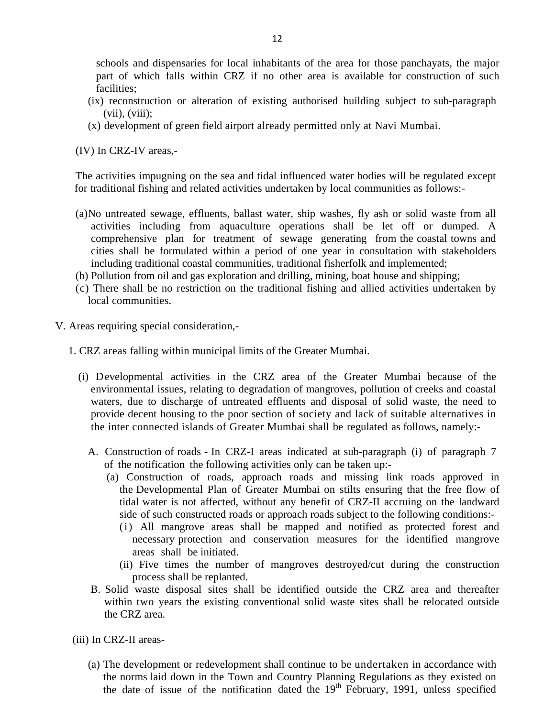schools and dispensaries for local inhabitants of the area for those panchayats, the major part of which falls within CRZ if no other area is available for construction of such facilities;

- (ix) reconstruction or alteration of existing authorised building subject to sub-paragraph  $(vii)$ ,  $(viii)$ ;
- (x) development of green field airport already permitted only at Navi Mumbai.

(IV) In CRZ-IV areas,-

The activities impugning on the sea and tidal influenced water bodies will be regulated except for traditional fishing and related activities undertaken by local communities as follows:-

- (a)No untreated sewage, effluents, ballast water, ship washes, fly ash or solid waste from all activities including from aquaculture operations shall be let off or dumped. A comprehensive plan for treatment of sewage generating from the coastal towns and cities shall be formulated within a period of one year in consultation with stakeholders including traditional coastal communities, traditional fisherfolk and implemented;
- (b) Pollution from oil and gas exploration and drilling, mining, boat house and shipping;
- (c) There shall be no restriction on the traditional fishing and allied activities undertaken by local communities.
- V. Areas requiring special consideration,-
	- 1. CRZ areas falling within municipal limits of the Greater Mumbai.
		- (i) Developmental activities in the CRZ area of the Greater Mumbai because of the environmental issues, relating to degradation of mangroves, pollution of creeks and coastal waters, due to discharge of untreated effluents and disposal of solid waste, the need to provide decent housing to the poor section of society and lack of suitable alternatives in the inter connected islands of Greater Mumbai shall be regulated as follows, namely:-
			- A. Construction of roads In CRZ-I areas indicated at sub-paragraph (i) of paragraph 7 of the notification the following activities only can be taken up:-
				- (a) Construction of roads, approach roads and missing link roads approved in the Developmental Plan of Greater Mumbai on stilts ensuring that the free flow of tidal water is not affected, without any benefit of CRZ-II accruing on the landward side of such constructed roads or approach roads subject to the following conditions:-
					- (i) All mangrove areas shall be mapped and notified as protected forest and necessary protection and conservation measures for the identified mangrove areas shall be initiated.
					- (ii) Five times the number of mangroves destroyed/cut during the construction process shall be replanted.
			- B. Solid waste disposal sites shall be identified outside the CRZ area and thereafter within two years the existing conventional solid waste sites shall be relocated outside the CRZ area.

(iii) In CRZ-II areas-

(a) The development or redevelopment shall continue to be undertaken in accordance with the norms laid down in the Town and Country Planning Regulations as they existed on the date of issue of the notification dated the  $19<sup>th</sup>$  February, 1991, unless specified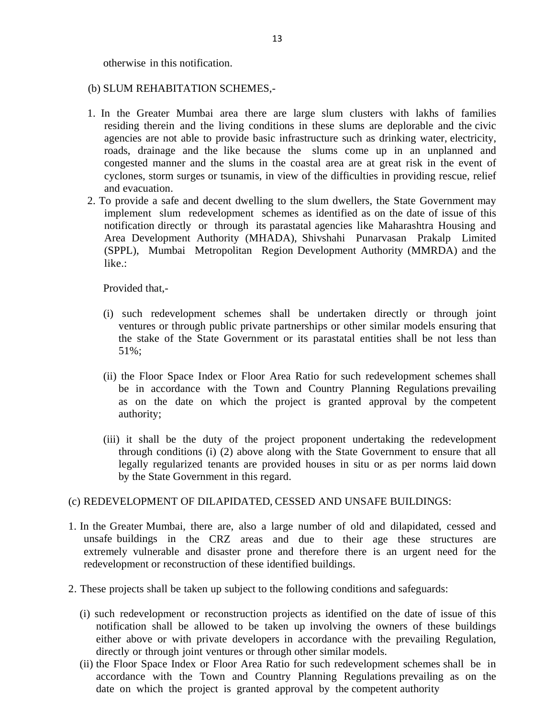otherwise in this notification.

### (b) SLUM REHABITATION SCHEMES,-

- 1. In the Greater Mumbai area there are large slum clusters with lakhs of families residing therein and the living conditions in these slums are deplorable and the civic agencies are not able to provide basic infrastructure such as drinking water, electricity, roads, drainage and the like because the slums come up in an unplanned and congested manner and the slums in the coastal area are at great risk in the event of cyclones, storm surges or tsunamis, in view of the difficulties in providing rescue, relief and evacuation.
- 2. To provide a safe and decent dwelling to the slum dwellers, the State Government may implement slum redevelopment schemes as identified as on the date of issue of this notification directly or through its parastatal agencies like Maharashtra Housing and Area Development Authority (MHADA), Shivshahi Punarvasan Prakalp Limited (SPPL), Mumbai Metropolitan Region Development Authority (MMRDA) and the like.:

Provided that,-

- (i) such redevelopment schemes shall be undertaken directly or through joint ventures or through public private partnerships or other similar models ensuring that the stake of the State Government or its parastatal entities shall be not less than 51%;
- (ii) the Floor Space Index or Floor Area Ratio for such redevelopment schemes shall be in accordance with the Town and Country Planning Regulations prevailing as on the date on which the project is granted approval by the competent authority;
- (iii) it shall be the duty of the project proponent undertaking the redevelopment through conditions (i) (2) above along with the State Government to ensure that all legally regularized tenants are provided houses in situ or as per norms laid down by the State Government in this regard.

### (c) REDEVELOPMENT OF DILAPIDATED, CESSED AND UNSAFE BUILDINGS:

- 1. In the Greater Mumbai, there are, also a large number of old and dilapidated, cessed and unsafe buildings in the CRZ areas and due to their age these structures are extremely vulnerable and disaster prone and therefore there is an urgent need for the redevelopment or reconstruction of these identified buildings.
- 2. These projects shall be taken up subject to the following conditions and safeguards:
	- (i) such redevelopment or reconstruction projects as identified on the date of issue of this notification shall be allowed to be taken up involving the owners of these buildings either above or with private developers in accordance with the prevailing Regulation, directly or through joint ventures or through other similar models.
	- (ii) the Floor Space Index or Floor Area Ratio for such redevelopment schemes shall be in accordance with the Town and Country Planning Regulations prevailing as on the date on which the project is granted approval by the competent authority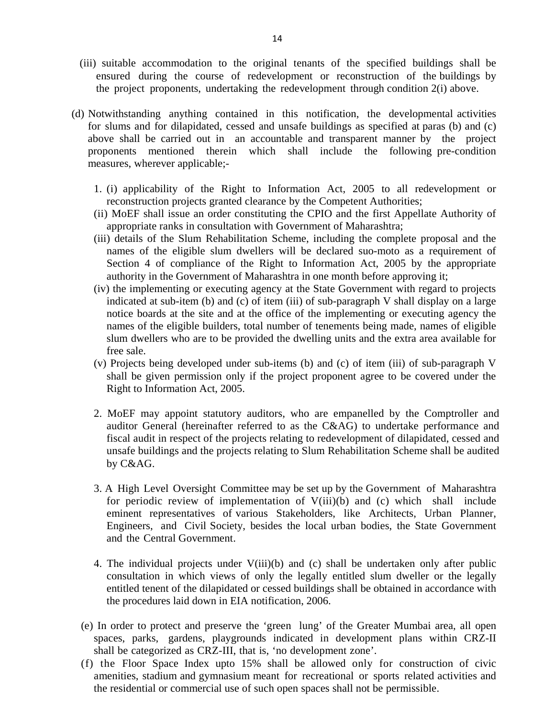- (iii) suitable accommodation to the original tenants of the specified buildings shall be ensured during the course of redevelopment or reconstruction of the buildings by the project proponents, undertaking the redevelopment through condition 2(i) above.
- (d) Notwithstanding anything contained in this notification, the developmental activities for slums and for dilapidated, cessed and unsafe buildings as specified at paras (b) and (c) above shall be carried out in an accountable and transparent manner by the project proponents mentioned therein which shall include the following pre-condition measures, wherever applicable;-
	- 1. (i) applicability of the Right to Information Act, 2005 to all redevelopment or reconstruction projects granted clearance by the Competent Authorities;
	- (ii) MoEF shall issue an order constituting the CPIO and the first Appellate Authority of appropriate ranks in consultation with Government of Maharashtra;
	- (iii) details of the Slum Rehabilitation Scheme, including the complete proposal and the names of the eligible slum dwellers will be declared suo-moto as a requirement of Section 4 of compliance of the Right to Information Act, 2005 by the appropriate authority in the Government of Maharashtra in one month before approving it;
	- (iv) the implementing or executing agency at the State Government with regard to projects indicated at sub-item (b) and (c) of item (iii) of sub-paragraph V shall display on a large notice boards at the site and at the office of the implementing or executing agency the names of the eligible builders, total number of tenements being made, names of eligible slum dwellers who are to be provided the dwelling units and the extra area available for free sale.
	- (v) Projects being developed under sub-items (b) and (c) of item (iii) of sub-paragraph V shall be given permission only if the project proponent agree to be covered under the Right to Information Act, 2005.
	- 2. MoEF may appoint statutory auditors, who are empanelled by the Comptroller and auditor General (hereinafter referred to as the C&AG) to undertake performance and fiscal audit in respect of the projects relating to redevelopment of dilapidated, cessed and unsafe buildings and the projects relating to Slum Rehabilitation Scheme shall be audited by C&AG.
	- 3. A High Level Oversight Committee may be set up by the Government of Maharashtra for periodic review of implementation of V(iii)(b) and (c) which shall include eminent representatives of various Stakeholders, like Architects, Urban Planner, Engineers, and Civil Society, besides the local urban bodies, the State Government and the Central Government.
	- 4. The individual projects under V(iii)(b) and (c) shall be undertaken only after public consultation in which views of only the legally entitled slum dweller or the legally entitled tenent of the dilapidated or cessed buildings shall be obtained in accordance with the procedures laid down in EIA notification, 2006.
	- (e) In order to protect and preserve the 'green lung' of the Greater Mumbai area, all open spaces, parks, gardens, playgrounds indicated in development plans within CRZ-II shall be categorized as CRZ-III, that is, 'no development zone'.
	- (f) the Floor Space Index upto 15% shall be allowed only for construction of civic amenities, stadium and gymnasium meant for recreational or sports related activities and the residential or commercial use of such open spaces shall not be permissible.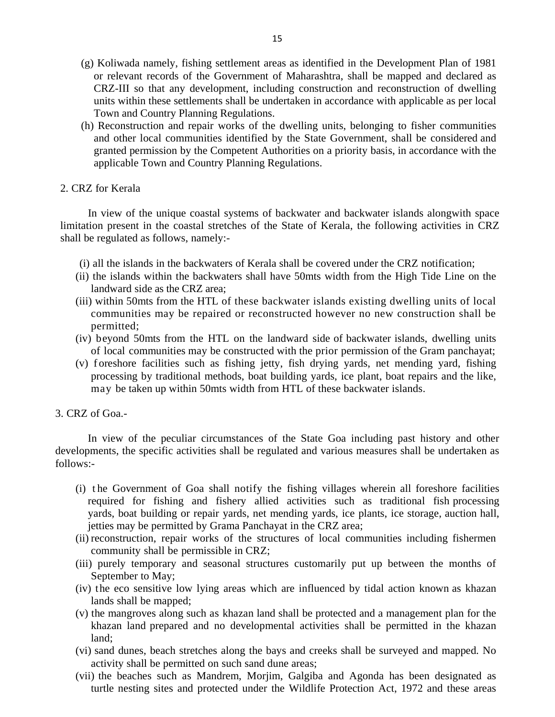- (g) Koliwada namely, fishing settlement areas as identified in the Development Plan of 1981 or relevant records of the Government of Maharashtra, shall be mapped and declared as CRZ-III so that any development, including construction and reconstruction of dwelling units within these settlements shall be undertaken in accordance with applicable as per local Town and Country Planning Regulations.
- (h) Reconstruction and repair works of the dwelling units, belonging to fisher communities and other local communities identified by the State Government, shall be considered and granted permission by the Competent Authorities on a priority basis, in accordance with the applicable Town and Country Planning Regulations.

#### 2. CRZ for Kerala

In view of the unique coastal systems of backwater and backwater islands alongwith space limitation present in the coastal stretches of the State of Kerala, the following activities in CRZ shall be regulated as follows, namely:-

- (i) all the islands in the backwaters of Kerala shall be covered under the CRZ notification;
- (ii) the islands within the backwaters shall have 50mts width from the High Tide Line on the landward side as the CRZ area;
- (iii) within 50mts from the HTL of these backwater islands existing dwelling units of local communities may be repaired or reconstructed however no new construction shall be permitted;
- (iv) beyond 50mts from the HTL on the landward side of backwater islands, dwelling units of local communities may be constructed with the prior permission of the Gram panchayat;
- (v) f oreshore facilities such as fishing jetty, fish drying yards, net mending yard, fishing processing by traditional methods, boat building yards, ice plant, boat repairs and the like, may be taken up within 50mts width from HTL of these backwater islands.
- 3. CRZ of Goa.-

In view of the peculiar circumstances of the State Goa including past history and other developments, the specific activities shall be regulated and various measures shall be undertaken as follows:-

- (i) t he Government of Goa shall notify the fishing villages wherein all foreshore facilities required for fishing and fishery allied activities such as traditional fish processing yards, boat building or repair yards, net mending yards, ice plants, ice storage, auction hall, jetties may be permitted by Grama Panchayat in the CRZ area;
- (ii) reconstruction, repair works of the structures of local communities including fishermen community shall be permissible in CRZ;
- (iii) purely temporary and seasonal structures customarily put up between the months of September to May;
- (iv) the eco sensitive low lying areas which are influenced by tidal action known as khazan lands shall be mapped;
- (v) the mangroves along such as khazan land shall be protected and a management plan for the khazan land prepared and no developmental activities shall be permitted in the khazan land;
- (vi) sand dunes, beach stretches along the bays and creeks shall be surveyed and mapped. No activity shall be permitted on such sand dune areas;
- (vii) the beaches such as Mandrem, Morjim, Galgiba and Agonda has been designated as turtle nesting sites and protected under the Wildlife Protection Act, 1972 and these areas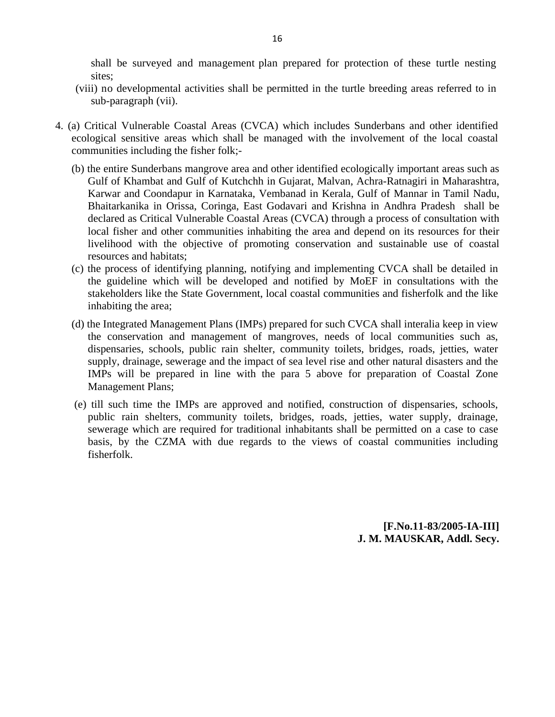shall be surveyed and management plan prepared for protection of these turtle nesting sites;

- (viii) no developmental activities shall be permitted in the turtle breeding areas referred to in sub-paragraph (vii).
- 4. (a) Critical Vulnerable Coastal Areas (CVCA) which includes Sunderbans and other identified ecological sensitive areas which shall be managed with the involvement of the local coastal communities including the fisher folk;-
	- (b) the entire Sunderbans mangrove area and other identified ecologically important areas such as Gulf of Khambat and Gulf of Kutchchh in Gujarat, Malvan, Achra-Ratnagiri in Maharashtra, Karwar and Coondapur in Karnataka, Vembanad in Kerala, Gulf of Mannar in Tamil Nadu, Bhaitarkanika in Orissa, Coringa, East Godavari and Krishna in Andhra Pradesh shall be declared as Critical Vulnerable Coastal Areas (CVCA) through a process of consultation with local fisher and other communities inhabiting the area and depend on its resources for their livelihood with the objective of promoting conservation and sustainable use of coastal resources and habitats;
	- (c) the process of identifying planning, notifying and implementing CVCA shall be detailed in the guideline which will be developed and notified by MoEF in consultations with the stakeholders like the State Government, local coastal communities and fisherfolk and the like inhabiting the area;
	- (d) the Integrated Management Plans (IMPs) prepared for such CVCA shall interalia keep in view the conservation and management of mangroves, needs of local communities such as, dispensaries, schools, public rain shelter, community toilets, bridges, roads, jetties, water supply, drainage, sewerage and the impact of sea level rise and other natural disasters and the IMPs will be prepared in line with the para 5 above for preparation of Coastal Zone Management Plans;
	- (e) till such time the IMPs are approved and notified, construction of dispensaries, schools, public rain shelters, community toilets, bridges, roads, jetties, water supply, drainage, sewerage which are required for traditional inhabitants shall be permitted on a case to case basis, by the CZMA with due regards to the views of coastal communities including fisherfolk.

**[F.No.11-83/2005-IA-III] J. M. MAUSKAR, Addl. Secy.**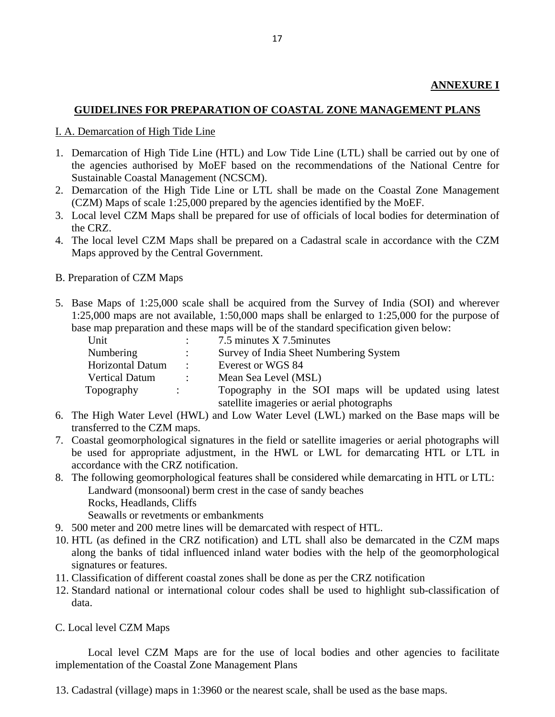# **GUIDELINES FOR PREPARATION OF COASTAL ZONE MANAGEMENT PLANS**

### I. A. Demarcation of High Tide Line

- 1. Demarcation of High Tide Line (HTL) and Low Tide Line (LTL) shall be carried out by one of the agencies authorised by MoEF based on the recommendations of the National Centre for Sustainable Coastal Management (NCSCM).
- 2. Demarcation of the High Tide Line or LTL shall be made on the Coastal Zone Management (CZM) Maps of scale 1:25,000 prepared by the agencies identified by the MoEF.
- 3. Local level CZM Maps shall be prepared for use of officials of local bodies for determination of the CRZ.
- 4. The local level CZM Maps shall be prepared on a Cadastral scale in accordance with the CZM Maps approved by the Central Government.
- B. Preparation of CZM Maps
- 5. Base Maps of 1:25,000 scale shall be acquired from the Survey of India (SOI) and wherever 1:25,000 maps are not available, 1:50,000 maps shall be enlarged to 1:25,000 for the purpose of base map preparation and these maps will be of the standard specification given below:

| Unit                    |                      | 7.5 minutes X 7.5 minutes                               |
|-------------------------|----------------------|---------------------------------------------------------|
| Numbering               |                      | Survey of India Sheet Numbering System                  |
| <b>Horizontal Datum</b> | $\mathbb{R}^n$       | Everest or WGS 84                                       |
| <b>Vertical Datum</b>   |                      | Mean Sea Level (MSL)                                    |
| Topography              | $\ddot{\phantom{a}}$ | Topography in the SOI maps will be updated using latest |
|                         |                      | satellite imageries or aerial photographs               |

- 6. The High Water Level (HWL) and Low Water Level (LWL) marked on the Base maps will be transferred to the CZM maps.
- 7. Coastal geomorphological signatures in the field or satellite imageries or aerial photographs will be used for appropriate adjustment, in the HWL or LWL for demarcating HTL or LTL in accordance with the CRZ notification.
- 8. The following geomorphological features shall be considered while demarcating in HTL or LTL: Landward (monsoonal) berm crest in the case of sandy beaches Rocks, Headlands, Cliffs Seawalls or revetments or embankments
- 9. 500 meter and 200 metre lines will be demarcated with respect of HTL.
- 10. HTL (as defined in the CRZ notification) and LTL shall also be demarcated in the CZM maps along the banks of tidal influenced inland water bodies with the help of the geomorphological signatures or features.
- 11. Classification of different coastal zones shall be done as per the CRZ notification
- 12. Standard national or international colour codes shall be used to highlight sub-classification of data.
- C. Local level CZM Maps

Local level CZM Maps are for the use of local bodies and other agencies to facilitate implementation of the Coastal Zone Management Plans

13. Cadastral (village) maps in 1:3960 or the nearest scale, shall be used as the base maps.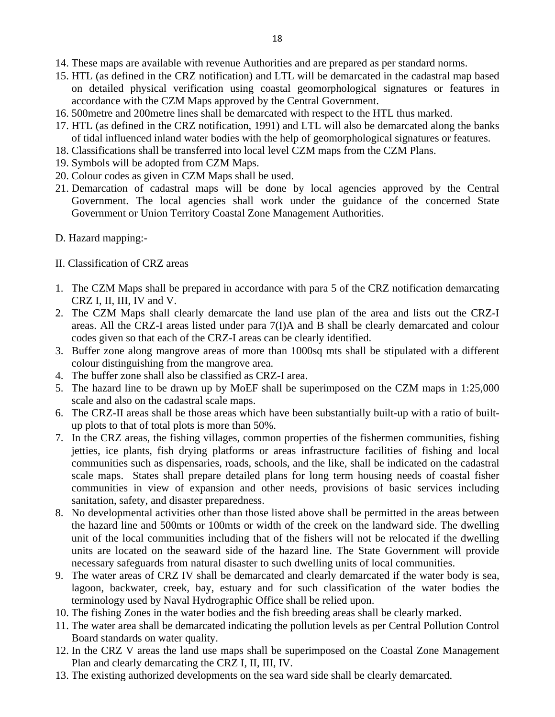- 14. These maps are available with revenue Authorities and are prepared as per standard norms.
- 15. HTL (as defined in the CRZ notification) and LTL will be demarcated in the cadastral map based on detailed physical verification using coastal geomorphological signatures or features in accordance with the CZM Maps approved by the Central Government.
- 16. 500metre and 200metre lines shall be demarcated with respect to the HTL thus marked.
- 17. HTL (as defined in the CRZ notification, 1991) and LTL will also be demarcated along the banks of tidal influenced inland water bodies with the help of geomorphological signatures or features.
- 18. Classifications shall be transferred into local level CZM maps from the CZM Plans.
- 19. Symbols will be adopted from CZM Maps.
- 20. Colour codes as given in CZM Maps shall be used.
- 21. Demarcation of cadastral maps will be done by local agencies approved by the Central Government. The local agencies shall work under the guidance of the concerned State Government or Union Territory Coastal Zone Management Authorities.
- D. Hazard mapping:-
- II. Classification of CRZ areas
- 1. The CZM Maps shall be prepared in accordance with para 5 of the CRZ notification demarcating CRZ I, II, III, IV and V.
- 2. The CZM Maps shall clearly demarcate the land use plan of the area and lists out the CRZ-I areas. All the CRZ-I areas listed under para 7(I)A and B shall be clearly demarcated and colour codes given so that each of the CRZ-I areas can be clearly identified.
- 3. Buffer zone along mangrove areas of more than 1000sq mts shall be stipulated with a different colour distinguishing from the mangrove area.
- 4. The buffer zone shall also be classified as CRZ-I area.
- 5. The hazard line to be drawn up by MoEF shall be superimposed on the CZM maps in 1:25,000 scale and also on the cadastral scale maps.
- 6. The CRZ-II areas shall be those areas which have been substantially built-up with a ratio of builtup plots to that of total plots is more than 50%.
- 7. In the CRZ areas, the fishing villages, common properties of the fishermen communities, fishing jetties, ice plants, fish drying platforms or areas infrastructure facilities of fishing and local communities such as dispensaries, roads, schools, and the like, shall be indicated on the cadastral scale maps. States shall prepare detailed plans for long term housing needs of coastal fisher communities in view of expansion and other needs, provisions of basic services including sanitation, safety, and disaster preparedness.
- 8. No developmental activities other than those listed above shall be permitted in the areas between the hazard line and 500mts or 100mts or width of the creek on the landward side. The dwelling unit of the local communities including that of the fishers will not be relocated if the dwelling units are located on the seaward side of the hazard line. The State Government will provide necessary safeguards from natural disaster to such dwelling units of local communities.
- 9. The water areas of CRZ IV shall be demarcated and clearly demarcated if the water body is sea, lagoon, backwater, creek, bay, estuary and for such classification of the water bodies the terminology used by Naval Hydrographic Office shall be relied upon.
- 10. The fishing Zones in the water bodies and the fish breeding areas shall be clearly marked.
- 11. The water area shall be demarcated indicating the pollution levels as per Central Pollution Control Board standards on water quality.
- 12. In the CRZ V areas the land use maps shall be superimposed on the Coastal Zone Management Plan and clearly demarcating the CRZ I, II, III, IV.
- 13. The existing authorized developments on the sea ward side shall be clearly demarcated.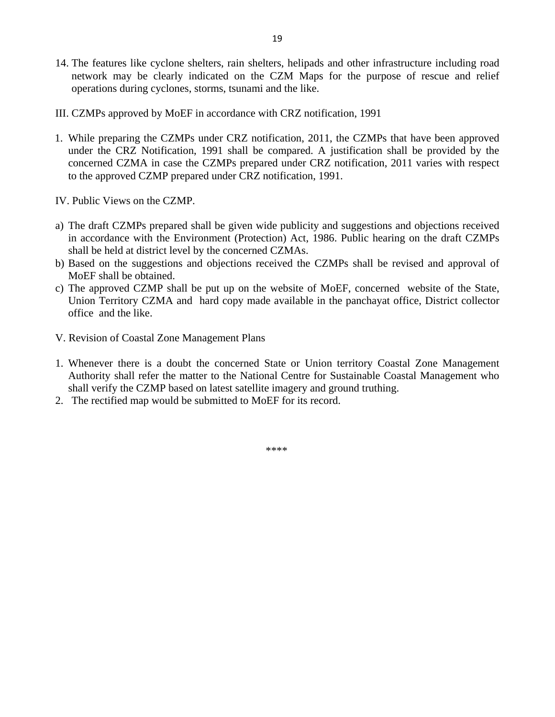- 14. The features like cyclone shelters, rain shelters, helipads and other infrastructure including road network may be clearly indicated on the CZM Maps for the purpose of rescue and relief operations during cyclones, storms, tsunami and the like.
- III. CZMPs approved by MoEF in accordance with CRZ notification, 1991
- 1. While preparing the CZMPs under CRZ notification, 2011, the CZMPs that have been approved under the CRZ Notification, 1991 shall be compared. A justification shall be provided by the concerned CZMA in case the CZMPs prepared under CRZ notification, 2011 varies with respect to the approved CZMP prepared under CRZ notification, 1991.
- IV. Public Views on the CZMP.
- a) The draft CZMPs prepared shall be given wide publicity and suggestions and objections received in accordance with the Environment (Protection) Act, 1986. Public hearing on the draft CZMPs shall be held at district level by the concerned CZMAs.
- b) Based on the suggestions and objections received the CZMPs shall be revised and approval of MoEF shall be obtained.
- c) The approved CZMP shall be put up on the website of MoEF, concerned website of the State, Union Territory CZMA and hard copy made available in the panchayat office, District collector office and the like.
- V. Revision of Coastal Zone Management Plans
- 1. Whenever there is a doubt the concerned State or Union territory Coastal Zone Management Authority shall refer the matter to the National Centre for Sustainable Coastal Management who shall verify the CZMP based on latest satellite imagery and ground truthing.
- 2. The rectified map would be submitted to MoEF for its record.

\*\*\*\*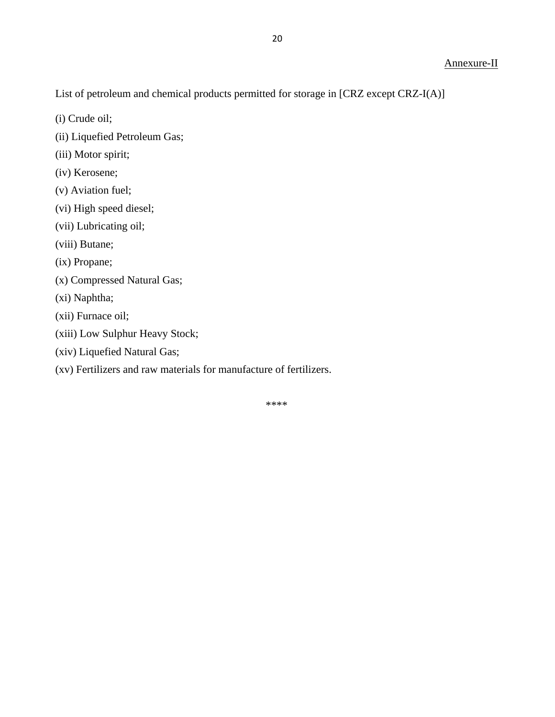List of petroleum and chemical products permitted for storage in [CRZ except CRZ-I(A)]

- (i) Crude oil;
- (ii) Liquefied Petroleum Gas;
- (iii) Motor spirit;
- (iv) Kerosene;
- (v) Aviation fuel;
- (vi) High speed diesel;
- (vii) Lubricating oil;
- (viii) Butane;
- (ix) Propane;
- (x) Compressed Natural Gas;
- (xi) Naphtha;
- (xii) Furnace oil;
- (xiii) Low Sulphur Heavy Stock;
- (xiv) Liquefied Natural Gas;
- (xv) Fertilizers and raw materials for manufacture of fertilizers.

20

\*\*\*\*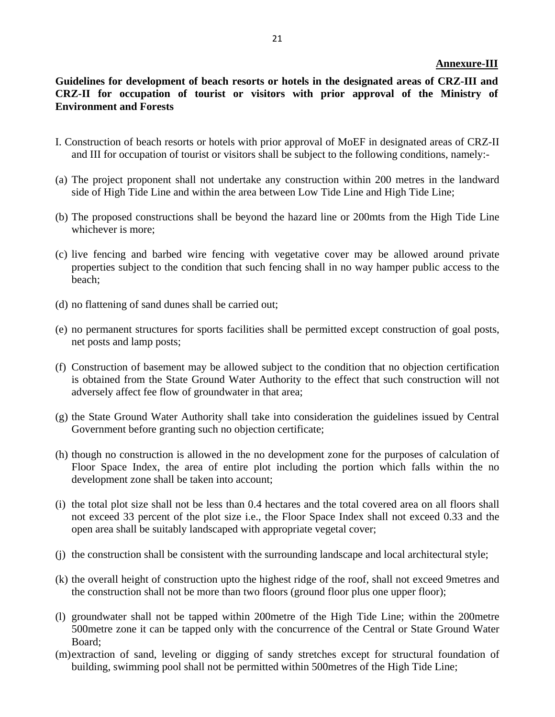#### **Annexure-III**

# **Guidelines for development of beach resorts or hotels in the designated areas of CRZ-III and CRZ-II for occupation of tourist or visitors with prior approval of the Ministry of Environment and Forests**

- I. Construction of beach resorts or hotels with prior approval of MoEF in designated areas of CRZ-II and III for occupation of tourist or visitors shall be subject to the following conditions, namely:-
- (a) The project proponent shall not undertake any construction within 200 metres in the landward side of High Tide Line and within the area between Low Tide Line and High Tide Line;
- (b) The proposed constructions shall be beyond the hazard line or 200mts from the High Tide Line whichever is more;
- (c) live fencing and barbed wire fencing with vegetative cover may be allowed around private properties subject to the condition that such fencing shall in no way hamper public access to the beach;
- (d) no flattening of sand dunes shall be carried out;
- (e) no permanent structures for sports facilities shall be permitted except construction of goal posts, net posts and lamp posts;
- (f) Construction of basement may be allowed subject to the condition that no objection certification is obtained from the State Ground Water Authority to the effect that such construction will not adversely affect fee flow of groundwater in that area;
- (g) the State Ground Water Authority shall take into consideration the guidelines issued by Central Government before granting such no objection certificate;
- (h) though no construction is allowed in the no development zone for the purposes of calculation of Floor Space Index, the area of entire plot including the portion which falls within the no development zone shall be taken into account;
- (i) the total plot size shall not be less than 0.4 hectares and the total covered area on all floors shall not exceed 33 percent of the plot size i.e., the Floor Space Index shall not exceed 0.33 and the open area shall be suitably landscaped with appropriate vegetal cover;
- (j) the construction shall be consistent with the surrounding landscape and local architectural style;
- (k) the overall height of construction upto the highest ridge of the roof, shall not exceed 9metres and the construction shall not be more than two floors (ground floor plus one upper floor);
- (l) groundwater shall not be tapped within 200metre of the High Tide Line; within the 200metre 500metre zone it can be tapped only with the concurrence of the Central or State Ground Water Board;
- (m)extraction of sand, leveling or digging of sandy stretches except for structural foundation of building, swimming pool shall not be permitted within 500metres of the High Tide Line;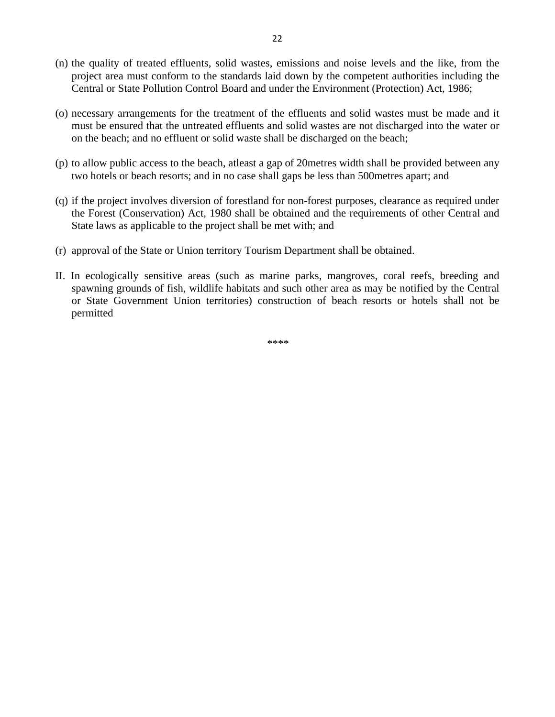- (n) the quality of treated effluents, solid wastes, emissions and noise levels and the like, from the project area must conform to the standards laid down by the competent authorities including the Central or State Pollution Control Board and under the Environment (Protection) Act, 1986;
- (o) necessary arrangements for the treatment of the effluents and solid wastes must be made and it must be ensured that the untreated effluents and solid wastes are not discharged into the water or on the beach; and no effluent or solid waste shall be discharged on the beach;
- (p) to allow public access to the beach, atleast a gap of 20metres width shall be provided between any two hotels or beach resorts; and in no case shall gaps be less than 500metres apart; and
- (q) if the project involves diversion of forestland for non-forest purposes, clearance as required under the Forest (Conservation) Act, 1980 shall be obtained and the requirements of other Central and State laws as applicable to the project shall be met with; and
- (r) approval of the State or Union territory Tourism Department shall be obtained.
- II. In ecologically sensitive areas (such as marine parks, mangroves, coral reefs, breeding and spawning grounds of fish, wildlife habitats and such other area as may be notified by the Central or State Government Union territories) construction of beach resorts or hotels shall not be permitted

\*\*\*\*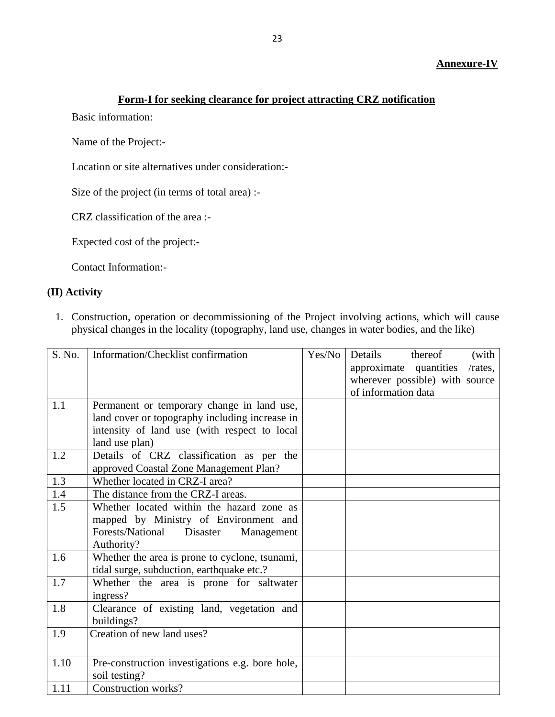### **Annexure-IV**

# **Form-I for seeking clearance for project attracting CRZ notification**

Basic information:

Name of the Project:-

Location or site alternatives under consideration:-

Size of the project (in terms of total area) :-

CRZ classification of the area :-

Expected cost of the project:-

Contact Information:-

# **(II) Activity**

1. Construction, operation or decommissioning of the Project involving actions, which will cause physical changes in the locality (topography, land use, changes in water bodies, and the like)

| S. No. | Information/Checklist confirmation              | Yes/No | Details<br>thereof<br>(with          |
|--------|-------------------------------------------------|--------|--------------------------------------|
|        |                                                 |        | approximate quantities<br>$/rates$ , |
|        |                                                 |        | wherever possible) with source       |
|        |                                                 |        | of information data                  |
| 1.1    | Permanent or temporary change in land use,      |        |                                      |
|        | land cover or topography including increase in  |        |                                      |
|        | intensity of land use (with respect to local    |        |                                      |
|        | land use plan)                                  |        |                                      |
| 1.2    | Details of CRZ classification as per the        |        |                                      |
|        | approved Coastal Zone Management Plan?          |        |                                      |
| 1.3    | Whether located in CRZ-I area?                  |        |                                      |
| 1.4    | The distance from the CRZ-I areas.              |        |                                      |
| 1.5    | Whether located within the hazard zone as       |        |                                      |
|        | mapped by Ministry of Environment and           |        |                                      |
|        | Forests/National<br>Disaster<br>Management      |        |                                      |
|        | Authority?                                      |        |                                      |
| 1.6    | Whether the area is prone to cyclone, tsunami,  |        |                                      |
|        | tidal surge, subduction, earthquake etc.?       |        |                                      |
| 1.7    | Whether the area is prone for saltwater         |        |                                      |
|        | ingress?                                        |        |                                      |
| 1.8    | Clearance of existing land, vegetation and      |        |                                      |
|        | buildings?                                      |        |                                      |
| 1.9    | Creation of new land uses?                      |        |                                      |
|        |                                                 |        |                                      |
| 1.10   | Pre-construction investigations e.g. bore hole, |        |                                      |
|        | soil testing?                                   |        |                                      |
| 1.11   | Construction works?                             |        |                                      |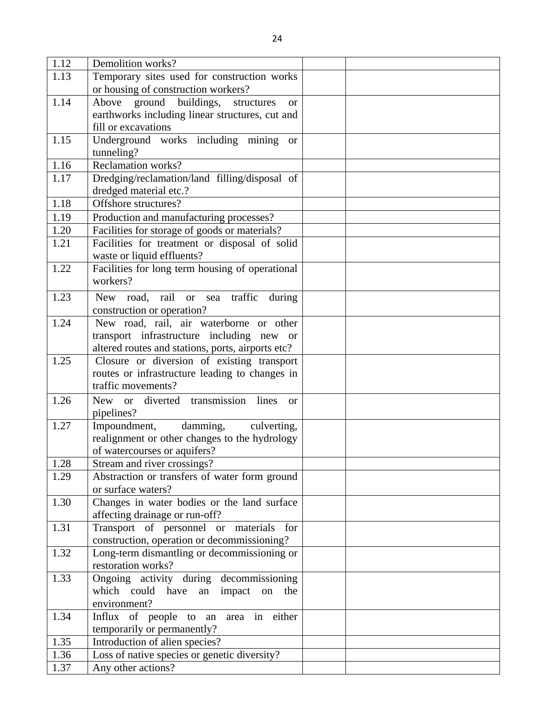| 1.12 | Demolition works?                                                                     |  |
|------|---------------------------------------------------------------------------------------|--|
| 1.13 | Temporary sites used for construction works                                           |  |
|      | or housing of construction workers?                                                   |  |
| 1.14 | ground buildings,<br>Above<br>structures<br><b>or</b>                                 |  |
|      | earthworks including linear structures, cut and                                       |  |
|      | fill or excavations                                                                   |  |
| 1.15 | Underground works including mining<br><b>or</b>                                       |  |
|      | tunneling?                                                                            |  |
| 1.16 | <b>Reclamation works?</b>                                                             |  |
| 1.17 | Dredging/reclamation/land filling/disposal of                                         |  |
|      | dredged material etc.?                                                                |  |
| 1.18 | Offshore structures?                                                                  |  |
| 1.19 | Production and manufacturing processes?                                               |  |
| 1.20 | Facilities for storage of goods or materials?                                         |  |
| 1.21 | Facilities for treatment or disposal of solid                                         |  |
|      | waste or liquid effluents?                                                            |  |
| 1.22 | Facilities for long term housing of operational                                       |  |
|      | workers?                                                                              |  |
| 1.23 | <b>New</b><br>road, rail<br>or sea traffic<br>during                                  |  |
|      | construction or operation?                                                            |  |
| 1.24 | New road, rail, air waterborne or other                                               |  |
|      | transport infrastructure including new or                                             |  |
|      | altered routes and stations, ports, airports etc?                                     |  |
| 1.25 | Closure or diversion of existing transport                                            |  |
|      | routes or infrastructure leading to changes in                                        |  |
|      | traffic movements?                                                                    |  |
| 1.26 | New or diverted transmission<br>lines<br>or                                           |  |
|      | pipelines?                                                                            |  |
| 1.27 | Impoundment, damming,<br>culverting,                                                  |  |
|      | realignment or other changes to the hydrology                                         |  |
|      | of watercourses or aquifers?                                                          |  |
| 1.28 | Stream and river crossings?                                                           |  |
| 1.29 | Abstraction or transfers of water form ground                                         |  |
|      | or surface waters?                                                                    |  |
| 1.30 | Changes in water bodies or the land surface                                           |  |
|      | affecting drainage or run-off?                                                        |  |
| 1.31 | Transport of personnel or materials for                                               |  |
|      | construction, operation or decommissioning?                                           |  |
| 1.32 | Long-term dismantling or decommissioning or                                           |  |
|      | restoration works?                                                                    |  |
| 1.33 | Ongoing activity during decommissioning<br>which could have<br>an impact<br>on<br>the |  |
|      | environment?                                                                          |  |
| 1.34 | Influx of people to an area in either                                                 |  |
|      | temporarily or permanently?                                                           |  |
| 1.35 | Introduction of alien species?                                                        |  |
| 1.36 | Loss of native species or genetic diversity?                                          |  |
| 1.37 | Any other actions?                                                                    |  |
|      |                                                                                       |  |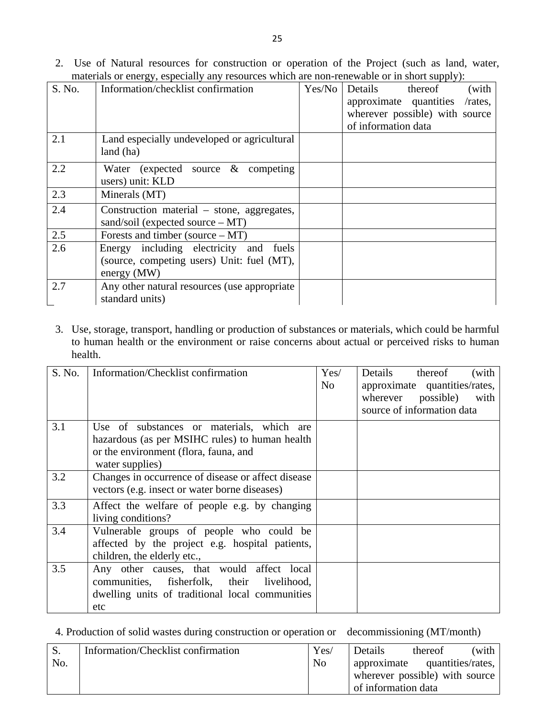2. Use of Natural resources for construction or operation of the Project (such as land, water, materials or energy, especially any resources which are non-renewable or in short supply):

| S. No. | Information/checklist confirmation                                                | Yes/No | Details<br>(with<br>thereof       |
|--------|-----------------------------------------------------------------------------------|--------|-----------------------------------|
|        |                                                                                   |        | approximate quantities<br>/rates, |
|        |                                                                                   |        | wherever possible) with source    |
|        |                                                                                   |        | of information data               |
| 2.1    | Land especially undeveloped or agricultural                                       |        |                                   |
|        | land (ha)                                                                         |        |                                   |
| 2.2    | Water (expected source $\&$ competing                                             |        |                                   |
|        | users) unit: KLD                                                                  |        |                                   |
| 2.3    | Minerals (MT)                                                                     |        |                                   |
| 2.4    | Construction material – stone, aggregates,<br>sand/soil (expected source $- MT$ ) |        |                                   |
| 2.5    | Forests and timber (source $- MT$ )                                               |        |                                   |
| 2.6    | Energy including electricity and<br>fuels                                         |        |                                   |
|        | (source, competing users) Unit: fuel (MT),                                        |        |                                   |
|        | energy (MW)                                                                       |        |                                   |
| 2.7    | Any other natural resources (use appropriate                                      |        |                                   |
|        | standard units)                                                                   |        |                                   |

3. Use, storage, transport, handling or production of substances or materials, which could be harmful to human health or the environment or raise concerns about actual or perceived risks to human health.

| S. No. | Information/Checklist confirmation                                                                                                                      | Yes/<br>N <sub>o</sub> | Details thereof<br>(with<br>approximate quantities/rates,<br>wherever possible)<br>with<br>source of information data |
|--------|---------------------------------------------------------------------------------------------------------------------------------------------------------|------------------------|-----------------------------------------------------------------------------------------------------------------------|
| 3.1    | Use of substances or materials, which are<br>hazardous (as per MSIHC rules) to human health<br>or the environment (flora, fauna, and<br>water supplies) |                        |                                                                                                                       |
| 3.2    | Changes in occurrence of disease or affect disease<br>vectors (e.g. insect or water borne diseases)                                                     |                        |                                                                                                                       |
| 3.3    | Affect the welfare of people e.g. by changing<br>living conditions?                                                                                     |                        |                                                                                                                       |
| 3.4    | Vulnerable groups of people who could be<br>affected by the project e.g. hospital patients,<br>children, the elderly etc.,                              |                        |                                                                                                                       |
| 3.5    | Any other causes, that would affect local<br>communities, fisherfolk, their livelihood,<br>dwelling units of traditional local communities<br>etc       |                        |                                                                                                                       |

4. Production of solid wastes during construction or operation or decommissioning (MT/month)

| S.  | Information/Checklist confirmation | Yes/           | (with<br>Details<br>thereof      |
|-----|------------------------------------|----------------|----------------------------------|
| No. |                                    | N <sub>0</sub> | quantities/rates,<br>approximate |
|     |                                    |                | wherever possible) with source   |
|     |                                    |                | of information data              |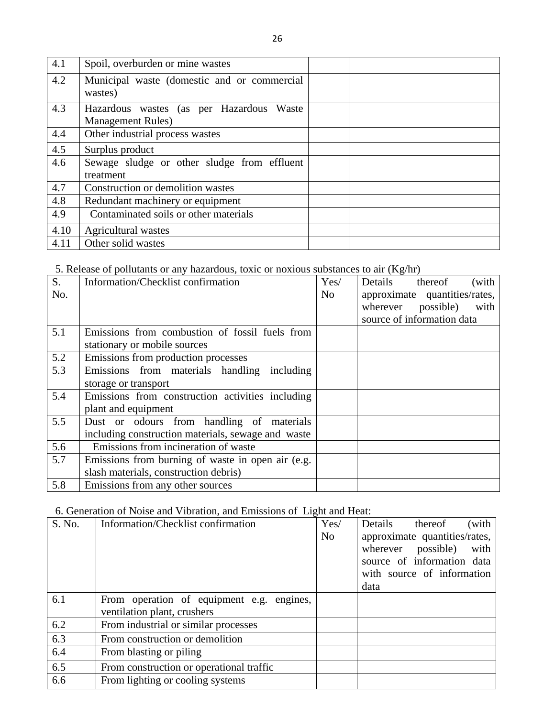| 4.1  | Spoil, overburden or mine wastes            |  |
|------|---------------------------------------------|--|
| 4.2  | Municipal waste (domestic and or commercial |  |
|      | wastes)                                     |  |
| 4.3  | Hazardous wastes (as per Hazardous Waste    |  |
|      | <b>Management Rules</b> )                   |  |
| 4.4  | Other industrial process wastes             |  |
| 4.5  | Surplus product                             |  |
| 4.6  | Sewage sludge or other sludge from effluent |  |
|      | treatment                                   |  |
| 4.7  | Construction or demolition wastes           |  |
| 4.8  | Redundant machinery or equipment            |  |
| 4.9  | Contaminated soils or other materials       |  |
| 4.10 | Agricultural wastes                         |  |
| 4.11 | Other solid wastes                          |  |

5. Release of pollutants or any hazardous, toxic or noxious substances to air (Kg/hr)

| $\overline{S}$ .<br>No. | Information/Checklist confirmation                                                              | Yes/<br>N <sub>o</sub> | $\sim$ $\sigma$<br>(with<br>Details thereof<br>approximate quantities/rates,<br>wherever possible)<br>with<br>source of information data |
|-------------------------|-------------------------------------------------------------------------------------------------|------------------------|------------------------------------------------------------------------------------------------------------------------------------------|
| 5.1                     | Emissions from combustion of fossil fuels from<br>stationary or mobile sources                  |                        |                                                                                                                                          |
| 5.2                     | Emissions from production processes                                                             |                        |                                                                                                                                          |
| 5.3                     | Emissions from materials handling including<br>storage or transport                             |                        |                                                                                                                                          |
| 5.4                     | Emissions from construction activities including<br>plant and equipment                         |                        |                                                                                                                                          |
| 5.5                     | Dust or odours from handling of materials<br>including construction materials, sewage and waste |                        |                                                                                                                                          |
| 5.6                     | Emissions from incineration of waste                                                            |                        |                                                                                                                                          |
| 5.7                     | Emissions from burning of waste in open air (e.g.<br>slash materials, construction debris)      |                        |                                                                                                                                          |
| 5.8                     | Emissions from any other sources                                                                |                        |                                                                                                                                          |

# 6. Generation of Noise and Vibration, and Emissions of Light and Heat:

| S. No. | Information/Checklist confirmation                                       | Yes/<br>N <sub>o</sub> | Details<br>thereof<br>(with<br>approximate quantities/rates,<br>possible)<br>wherever<br>with<br>source of information data<br>with source of information<br>data |
|--------|--------------------------------------------------------------------------|------------------------|-------------------------------------------------------------------------------------------------------------------------------------------------------------------|
| 6.1    | From operation of equipment e.g. engines,<br>ventilation plant, crushers |                        |                                                                                                                                                                   |
| 6.2    | From industrial or similar processes                                     |                        |                                                                                                                                                                   |
| 6.3    | From construction or demolition                                          |                        |                                                                                                                                                                   |
| 6.4    | From blasting or piling                                                  |                        |                                                                                                                                                                   |
| 6.5    | From construction or operational traffic                                 |                        |                                                                                                                                                                   |
| 6.6    | From lighting or cooling systems                                         |                        |                                                                                                                                                                   |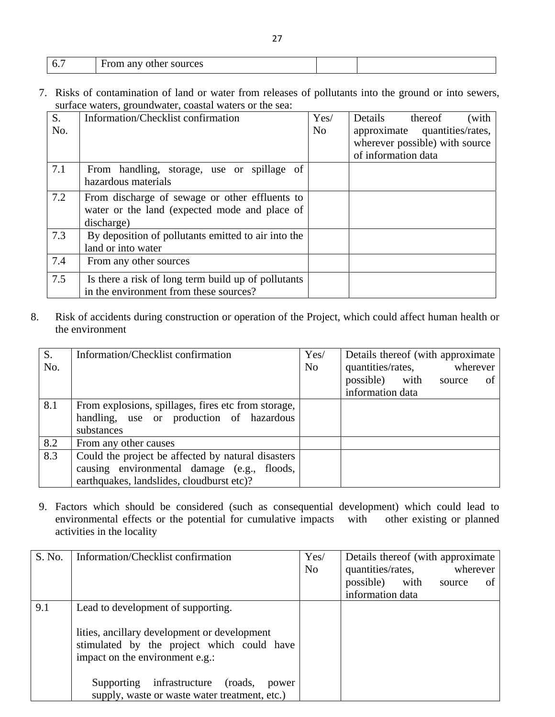| <u>. v</u> | From any other sources<br>.<br>$ -$ |  |
|------------|-------------------------------------|--|

7. Risks of contamination of land or water from releases of pollutants into the ground or into sewers, surface waters, groundwater, coastal waters or the sea:

| S.<br>No. | Information/Checklist confirmation                                                                            | Yes/<br>N <sub>o</sub> | Details<br>thereof<br>(with<br>approximate quantities/rates,<br>wherever possible) with source<br>of information data |
|-----------|---------------------------------------------------------------------------------------------------------------|------------------------|-----------------------------------------------------------------------------------------------------------------------|
| 7.1       | From handling, storage, use or spillage of<br>hazardous materials                                             |                        |                                                                                                                       |
| 7.2       | From discharge of sewage or other effluents to<br>water or the land (expected mode and place of<br>discharge) |                        |                                                                                                                       |
| 7.3       | By deposition of pollutants emitted to air into the<br>land or into water                                     |                        |                                                                                                                       |
| 7.4       | From any other sources                                                                                        |                        |                                                                                                                       |
| 7.5       | Is there a risk of long term build up of pollutants<br>in the environment from these sources?                 |                        |                                                                                                                       |

8. Risk of accidents during construction or operation of the Project, which could affect human health or the environment

| S.  | Information/Checklist confirmation                  | Yes/           | Details thereof (with approximate) |
|-----|-----------------------------------------------------|----------------|------------------------------------|
| No. |                                                     | N <sub>o</sub> | quantities/rates,<br>wherever      |
|     |                                                     |                | possible) with<br>οf<br>source     |
|     |                                                     |                | information data                   |
| 8.1 | From explosions, spillages, fires etc from storage, |                |                                    |
|     | handling, use or production of hazardous            |                |                                    |
|     | substances                                          |                |                                    |
| 8.2 | From any other causes                               |                |                                    |
| 8.3 | Could the project be affected by natural disasters  |                |                                    |
|     | causing environmental damage (e.g., floods,         |                |                                    |
|     | earthquakes, landslides, cloudburst etc)?           |                |                                    |

9. Factors which should be considered (such as consequential development) which could lead to environmental effects or the potential for cumulative impacts activities in the locality

| S. No. | Information/Checklist confirmation                                                                                            | Yes/<br>N <sub>0</sub> | Details thereof (with approximate)<br>quantities/rates,<br>wherever |  |  |
|--------|-------------------------------------------------------------------------------------------------------------------------------|------------------------|---------------------------------------------------------------------|--|--|
|        |                                                                                                                               |                        | possible)<br>with<br>source<br>οf                                   |  |  |
|        |                                                                                                                               |                        | information data                                                    |  |  |
| 9.1    | Lead to development of supporting.                                                                                            |                        |                                                                     |  |  |
|        | lities, ancillary development or development<br>stimulated by the project which could have<br>impact on the environment e.g.: |                        |                                                                     |  |  |
|        | infrastructure<br>Supporting<br>(roads,<br>power<br>supply, waste or waste water treatment, etc.)                             |                        |                                                                     |  |  |